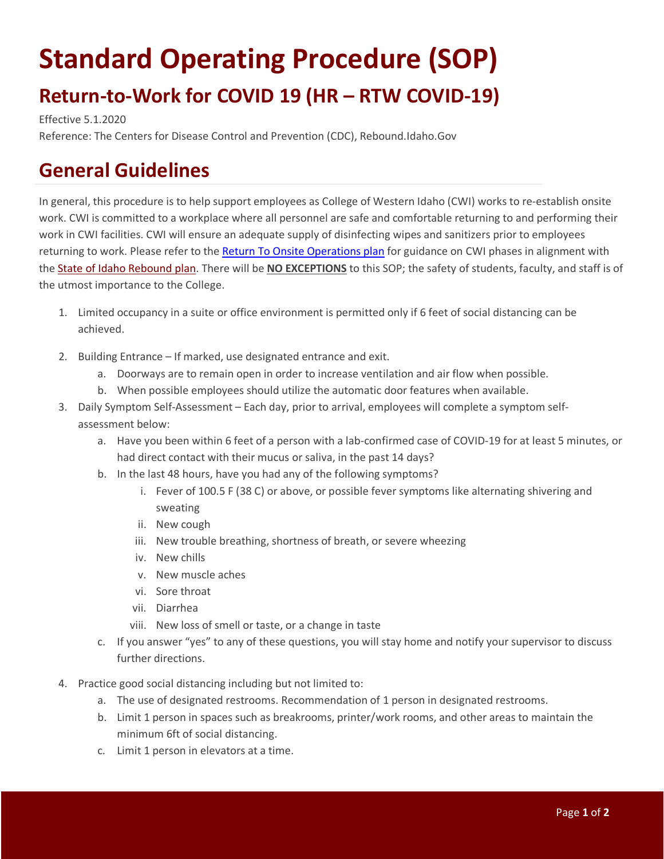## **Standard Operating Procedure (SOP) Return-to-Work for COVID 19 (HR – RTW COVID-19)**

Effective 5.1.2020

Reference: The Centers for Disease Control and Prevention (CDC), Rebound.Idaho.Gov

## **General Guidelines**

In general, this procedure is to help support employees as College of Western Idaho (CWI) works to re-establish onsite work. CWI is committed to a workplace where all personnel are safe and comfortable returning to and performing their work in CWI facilities. CWI will ensure an adequate supply of disinfecting wipes and sanitizers prior to employees returning to work. Please refer to the [Return To Onsite Operations plan](http://www.cwi.edu/coronavirus) for guidance on CWI phases in alignment with the [State of Idaho Rebound plan.](https://rebound.idaho.gov/stages-of-reopening/) There will be **NO EXCEPTIONS** to this SOP; the safety of students, faculty, and staff is of the utmost importance to the College.

- 1. Limited occupancy in a suite or office environment is permitted only if 6 feet of social distancing can be achieved.
- 2. Building Entrance If marked, use designated entrance and exit.
	- a. Doorways are to remain open in order to increase ventilation and air flow when possible.
	- b. When possible employees should utilize the automatic door features when available.
- 3. Daily Symptom Self-Assessment Each day, prior to arrival, employees will complete a symptom selfassessment below:
	- a. Have you been within 6 feet of a person with a lab-confirmed case of COVID-19 for at least 5 minutes, or had direct contact with their mucus or saliva, in the past 14 days?
	- b. In the last 48 hours, have you had any of the following symptoms?
		- i. Fever of 100.5 F (38 C) or above, or possible fever symptoms like alternating shivering and sweating
		- ii. New cough
		- iii. New trouble breathing, shortness of breath, or severe wheezing
		- iv. New chills
		- v. New muscle aches
		- vi. Sore throat
		- vii. Diarrhea
		- viii. New loss of smell or taste, or a change in taste
	- c. If you answer "yes" to any of these questions, you will stay home and notify your supervisor to discuss further directions.
- 4. Practice good social distancing including but not limited to:
	- a. The use of designated restrooms. Recommendation of 1 person in designated restrooms.
	- b. Limit 1 person in spaces such as breakrooms, printer/work rooms, and other areas to maintain the minimum 6ft of social distancing.
	- c. Limit 1 person in elevators at a time.